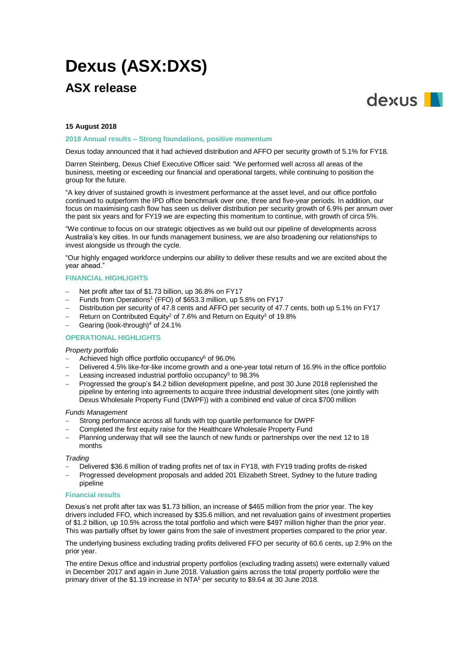# **Dexus (ASX:DXS)**

# **ASX release**



# **15 August 2018**

# **2018 Annual results – Strong foundations, positive momentum**

Dexus today announced that it had achieved distribution and AFFO per security growth of 5.1% for FY18.

Darren Steinberg, Dexus Chief Executive Officer said: "We performed well across all areas of the business, meeting or exceeding our financial and operational targets, while continuing to position the group for the future.

"A key driver of sustained growth is investment performance at the asset level, and our office portfolio continued to outperform the IPD office benchmark over one, three and five-year periods. In addition, our focus on maximising cash flow has seen us deliver distribution per security growth of 6.9% per annum over the past six years and for FY19 we are expecting this momentum to continue, with growth of circa 5%.

"We continue to focus on our strategic objectives as we build out our pipeline of developments across Australia's key cities. In our funds management business, we are also broadening our relationships to invest alongside us through the cycle.

"Our highly engaged workforce underpins our ability to deliver these results and we are excited about the year ahead."

# **FINANCIAL HIGHLIGHTS**

- Net profit after tax of \$1.73 billion, up 36.8% on FY17
- Funds from Operations<sup>1</sup> (FFO) of \$653.3 million, up 5.8% on FY17
- Distribution per security of 47.8 cents and AFFO per security of 47.7 cents, both up 5.1% on FY17
- Return on Contributed Equity<sup>2</sup> of 7.6% and Return on Equity<sup>3</sup> of 19.8%
- Gearing (look-through)<sup>4</sup> of 24.1%

# **OPERATIONAL HIGHLIGHTS**

# *Property portfolio*

- Achieved high office portfolio occupancy<sup>5</sup> of 96.0%
- Delivered 4.5% like-for-like income growth and a one-year total return of 16.9% in the office portfolio
- Leasing increased industrial portfolio occupancy<sup>5</sup> to 98.3%
- Progressed the group's \$4.2 billion development pipeline, and post 30 June 2018 replenished the pipeline by entering into agreements to acquire three industrial development sites (one jointly with Dexus Wholesale Property Fund (DWPF)) with a combined end value of circa \$700 million

#### *Funds Management*

- Strong performance across all funds with top quartile performance for DWPF
- Completed the first equity raise for the Healthcare Wholesale Property Fund
- Planning underway that will see the launch of new funds or partnerships over the next 12 to 18 months

# *Trading*

- Delivered \$36.6 million of trading profits net of tax in FY18, with FY19 trading profits de-risked
- Progressed development proposals and added 201 Elizabeth Street, Sydney to the future trading pipeline

# **Financial results**

Dexus's net profit after tax was \$1.73 billion, an increase of \$465 million from the prior year. The key drivers included FFO, which increased by \$35.6 million, and net revaluation gains of investment properties of \$1.2 billion, up 10.5% across the total portfolio and which were \$497 million higher than the prior year. This was partially offset by lower gains from the sale of investment properties compared to the prior year.

The underlying business excluding trading profits delivered FFO per security of 60.6 cents, up 2.9% on the prior year.

The entire Dexus office and industrial property portfolios (excluding trading assets) were externally valued in December 2017 and again in June 2018. Valuation gains across the total property portfolio were the primary driver of the \$1.19 increase in NTA<sup>6</sup> per security to \$9.64 at 30 June 2018.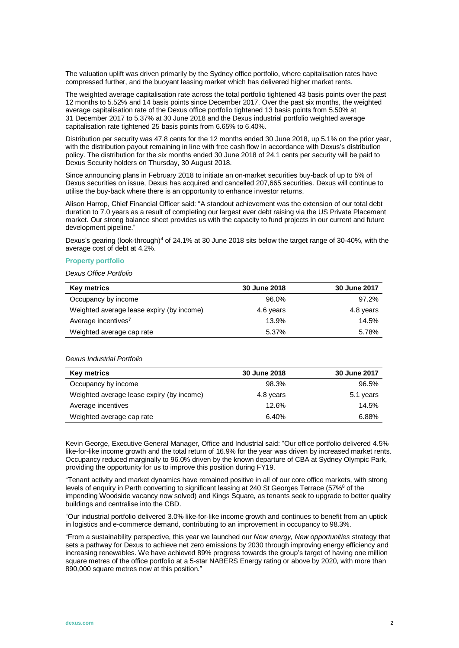The valuation uplift was driven primarily by the Sydney office portfolio, where capitalisation rates have compressed further, and the buoyant leasing market which has delivered higher market rents.

The weighted average capitalisation rate across the total portfolio tightened 43 basis points over the past 12 months to 5.52% and 14 basis points since December 2017. Over the past six months, the weighted average capitalisation rate of the Dexus office portfolio tightened 13 basis points from 5.50% at 31 December 2017 to 5.37% at 30 June 2018 and the Dexus industrial portfolio weighted average capitalisation rate tightened 25 basis points from 6.65% to 6.40%.

Distribution per security was 47.8 cents for the 12 months ended 30 June 2018, up 5.1% on the prior year, with the distribution payout remaining in line with free cash flow in accordance with Dexus's distribution policy. The distribution for the six months ended 30 June 2018 of 24.1 cents per security will be paid to Dexus Security holders on Thursday, 30 August 2018.

Since announcing plans in February 2018 to initiate an on-market securities buy-back of up to 5% of Dexus securities on issue, Dexus has acquired and cancelled 207,665 securities. Dexus will continue to utilise the buy-back where there is an opportunity to enhance investor returns.

Alison Harrop, Chief Financial Officer said: "A standout achievement was the extension of our total debt duration to 7.0 years as a result of completing our largest ever debt raising via the US Private Placement market. Our strong balance sheet provides us with the capacity to fund projects in our current and future development pipeline."

Dexus's gearing (look-through)<sup>4</sup> of 24.1% at 30 June 2018 sits below the target range of 30-40%, with the average cost of debt at 4.2%.

# **Property portfolio**

# *Dexus Office Portfolio*

| <b>Key metrics</b>                        | 30 June 2018 | 30 June 2017 |
|-------------------------------------------|--------------|--------------|
| Occupancy by income                       | 96.0%        | 97.2%        |
| Weighted average lease expiry (by income) | 4.6 years    | 4.8 years    |
| Average incentives <sup>7</sup>           | 13.9%        | 14.5%        |
| Weighted average cap rate                 | 5.37%        | 5.78%        |

#### *Dexus Industrial Portfolio*

| Key metrics                               | 30 June 2018 | 30 June 2017 |
|-------------------------------------------|--------------|--------------|
| Occupancy by income                       | 98.3%        | 96.5%        |
| Weighted average lease expiry (by income) | 4.8 years    | 5.1 years    |
| Average incentives                        | 12.6%        | 14.5%        |
| Weighted average cap rate                 | 6.40%        | 6.88%        |

Kevin George, Executive General Manager, Office and Industrial said: "Our office portfolio delivered 4.5% like-for-like income growth and the total return of 16.9% for the year was driven by increased market rents. Occupancy reduced marginally to 96.0% driven by the known departure of CBA at Sydney Olympic Park, providing the opportunity for us to improve this position during FY19.

"Tenant activity and market dynamics have remained positive in all of our core office markets, with strong levels of enquiry in Perth converting to significant leasing at 240 St Georges Terrace (57%<sup>8</sup> of the impending Woodside vacancy now solved) and Kings Square, as tenants seek to upgrade to better quality buildings and centralise into the CBD.

"Our industrial portfolio delivered 3.0% like-for-like income growth and continues to benefit from an uptick in logistics and e-commerce demand, contributing to an improvement in occupancy to 98.3%.

"From a sustainability perspective, this year we launched our *New energy, New opportunities* strategy that sets a pathway for Dexus to achieve net zero emissions by 2030 through improving energy efficiency and increasing renewables. We have achieved 89% progress towards the group's target of having one million square metres of the office portfolio at a 5-star NABERS Energy rating or above by 2020, with more than 890,000 square metres now at this position."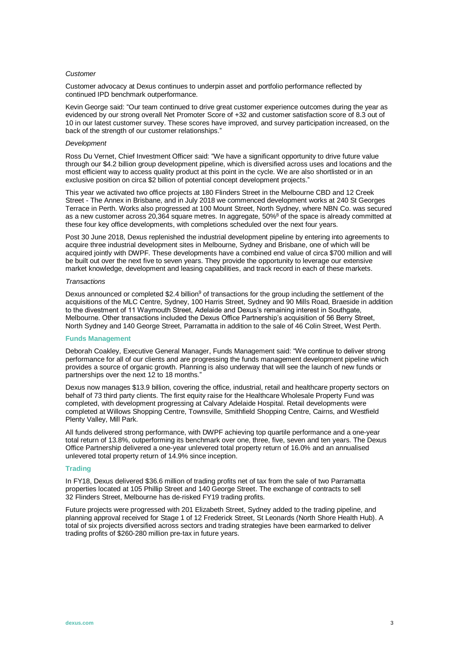# *Customer*

Customer advocacy at Dexus continues to underpin asset and portfolio performance reflected by continued IPD benchmark outperformance.

Kevin George said: "Our team continued to drive great customer experience outcomes during the year as evidenced by our strong overall Net Promoter Score of +32 and customer satisfaction score of 8.3 out of 10 in our latest customer survey. These scores have improved, and survey participation increased, on the back of the strength of our customer relationships."

#### *Development*

Ross Du Vernet, Chief Investment Officer said: "We have a significant opportunity to drive future value through our \$4.2 billion group development pipeline, which is diversified across uses and locations and the most efficient way to access quality product at this point in the cycle. We are also shortlisted or in an exclusive position on circa \$2 billion of potential concept development projects."

This year we activated two office projects at 180 Flinders Street in the Melbourne CBD and 12 Creek Street - The Annex in Brisbane, and in July 2018 we commenced development works at 240 St Georges Terrace in Perth. Works also progressed at 100 Mount Street, North Sydney, where NBN Co. was secured as a new customer across 20,364 square metres. In aggregate, 50%<sup>8</sup> of the space is already committed at these four key office developments, with completions scheduled over the next four years.

Post 30 June 2018, Dexus replenished the industrial development pipeline by entering into agreements to acquire three industrial development sites in Melbourne, Sydney and Brisbane, one of which will be acquired jointly with DWPF. These developments have a combined end value of circa \$700 million and will be built out over the next five to seven years. They provide the opportunity to leverage our extensive market knowledge, development and leasing capabilities, and track record in each of these markets.

# *Transactions*

Dexus announced or completed \$2.4 billion<sup>9</sup> of transactions for the group including the settlement of the acquisitions of the MLC Centre, Sydney, 100 Harris Street, Sydney and 90 Mills Road, Braeside in addition to the divestment of 11 Waymouth Street, Adelaide and Dexus's remaining interest in Southgate, Melbourne. Other transactions included the Dexus Office Partnership's acquisition of 56 Berry Street, North Sydney and 140 George Street, Parramatta in addition to the sale of 46 Colin Street, West Perth.

#### **Funds Management**

Deborah Coakley, Executive General Manager, Funds Management said: "We continue to deliver strong performance for all of our clients and are progressing the funds management development pipeline which provides a source of organic growth. Planning is also underway that will see the launch of new funds or partnerships over the next 12 to 18 months."

Dexus now manages \$13.9 billion, covering the office, industrial, retail and healthcare property sectors on behalf of 73 third party clients. The first equity raise for the Healthcare Wholesale Property Fund was completed, with development progressing at Calvary Adelaide Hospital. Retail developments were completed at Willows Shopping Centre, Townsville, Smithfield Shopping Centre, Cairns, and Westfield Plenty Valley, Mill Park.

All funds delivered strong performance, with DWPF achieving top quartile performance and a one-year total return of 13.8%, outperforming its benchmark over one, three, five, seven and ten years. The Dexus Office Partnership delivered a one-year unlevered total property return of 16.0% and an annualised unlevered total property return of 14.9% since inception.

# **Trading**

In FY18, Dexus delivered \$36.6 million of trading profits net of tax from the sale of two Parramatta properties located at 105 Phillip Street and 140 George Street. The exchange of contracts to sell 32 Flinders Street, Melbourne has de-risked FY19 trading profits.

Future projects were progressed with 201 Elizabeth Street, Sydney added to the trading pipeline, and planning approval received for Stage 1 of 12 Frederick Street, St Leonards (North Shore Health Hub). A total of six projects diversified across sectors and trading strategies have been earmarked to deliver trading profits of \$260-280 million pre-tax in future years.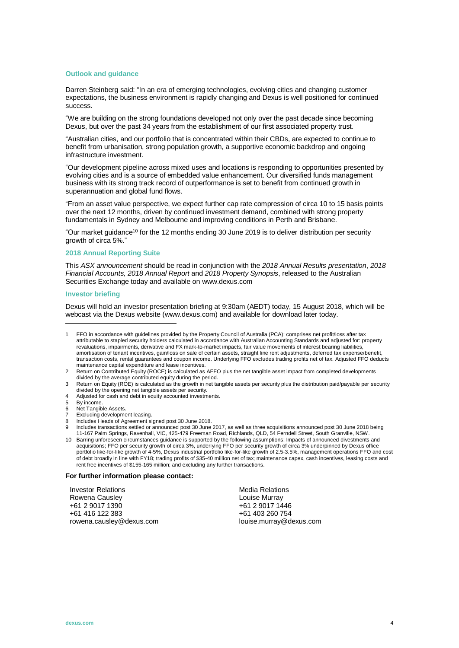# **Outlook and guidance**

Darren Steinberg said: "In an era of emerging technologies, evolving cities and changing customer expectations, the business environment is rapidly changing and Dexus is well positioned for continued success.

"We are building on the strong foundations developed not only over the past decade since becoming Dexus, but over the past 34 years from the establishment of our first associated property trust.

"Australian cities, and our portfolio that is concentrated within their CBDs, are expected to continue to benefit from urbanisation, strong population growth, a supportive economic backdrop and ongoing infrastructure investment.

"Our development pipeline across mixed uses and locations is responding to opportunities presented by evolving cities and is a source of embedded value enhancement. Our diversified funds management business with its strong track record of outperformance is set to benefit from continued growth in superannuation and global fund flows.

"From an asset value perspective, we expect further cap rate compression of circa 10 to 15 basis points over the next 12 months, driven by continued investment demand, combined with strong property fundamentals in Sydney and Melbourne and improving conditions in Perth and Brisbane.

"Our market guidance<sup>10</sup> for the 12 months ending 30 June 2019 is to deliver distribution per security growth of circa 5%."

## **2018 Annual Reporting Suite**

This *ASX announcement* should be read in conjunction with the *2018 Annual Results presentation*, *2018 Financial Accounts, 2018 Annual Report* and *2018 Property Synopsis*, released to the Australian Securities Exchange today and available on www.dexus.com

# **Investor briefing**

 $\overline{a}$ 

Dexus will hold an investor presentation briefing at 9:30am (AEDT) today, 15 August 2018, which will be webcast via the Dexus website (www.dexus.com) and available for download later today.

- 2 Return on Contributed Equity (ROCE) is calculated as AFFO plus the net tangible asset impact from completed developments divided by the average contributed equity during the period.
- 3 Return on Equity (ROE) is calculated as the growth in net tangible assets per security plus the distribution paid/payable per security divided by the opening net tangible assets per security.
- Adjusted for cash and debt in equity accounted investments.
- 5 By income.
- 6 Net Tangible Assets. Excluding development leasing.
- 
- Includes Heads of Agreement signed post 30 June 2018.
- 9 Includes transactions settled or announced post 30 June 2017, as well as three acquisitions announced post 30 June 2018 being 11-167 Palm Springs, Ravenhall, VIC, 425-479 Freeman Road, Richlands, QLD, 54 Ferndell Street, South Granville, NSW. 10 Barring unforeseen circumstances guidance is supported by the following assumptions: Impacts of announced divestments and acquisitions; FFO per security growth of circa 3%, underlying FFO per security growth of circa 3% underpinned by Dexus office
- portfolio like-for-like growth of 4-5%, Dexus industrial portfolio like-for-like growth of 2.5-3.5%, management operations FFO and cost of debt broadly in line with FY18; trading profits of \$35-40 million net of tax; maintenance capex, cash incentives, leasing costs and rent free incentives of \$155-165 million; and excluding any further transactions.

# **For further information please contact:**

| Investor Relations       | Media Relations         |
|--------------------------|-------------------------|
| Rowena Causley           | Louise Murray           |
| +61 2 9017 1390          | +61 2 9017 1446         |
| +61 416 122 383          | +61 403 260 754         |
| rowena.causley@dexus.com | louise.murray@dexus.com |

<sup>1</sup> FFO in accordance with guidelines provided by the Property Council of Australia (PCA): comprises net profit/loss after tax attributable to stapled security holders calculated in accordance with Australian Accounting Standards and adjusted for: property revaluations, impairments, derivative and FX mark-to-market impacts, fair value movements of interest bearing liabilities, amortisation of tenant incentives, gain/loss on sale of certain assets, straight line rent adjustments, deferred tax expense/benefit, transaction costs, rental guarantees and coupon income. Underlying FFO excludes trading profits net of tax. Adjusted FFO deducts maintenance capital expenditure and lease incentives.